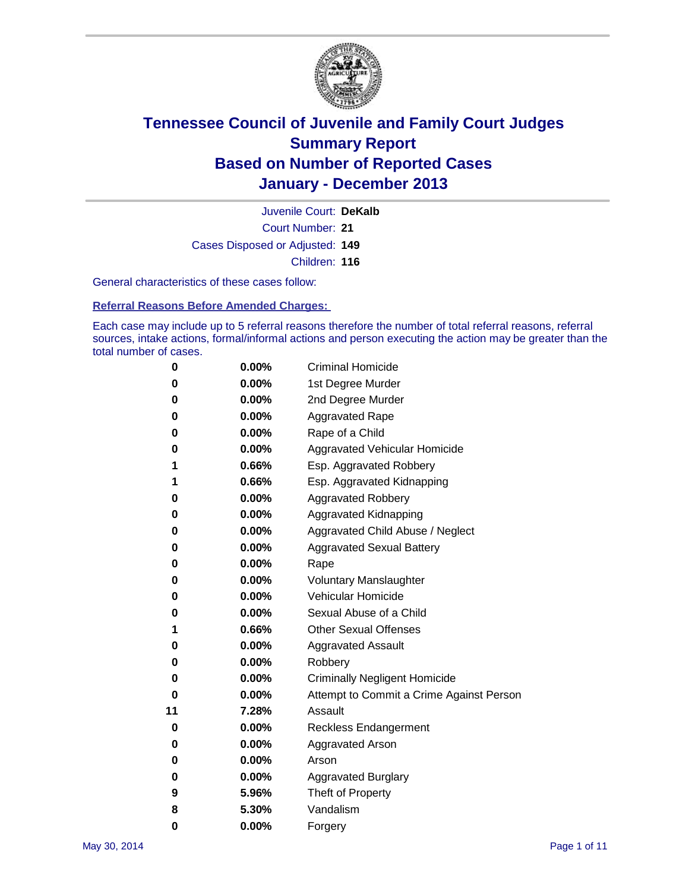

Court Number: **21** Juvenile Court: **DeKalb** Cases Disposed or Adjusted: **149** Children: **116**

General characteristics of these cases follow:

**Referral Reasons Before Amended Charges:** 

Each case may include up to 5 referral reasons therefore the number of total referral reasons, referral sources, intake actions, formal/informal actions and person executing the action may be greater than the total number of cases.

| 0  | 0.00%    | <b>Criminal Homicide</b>                 |
|----|----------|------------------------------------------|
| 0  | 0.00%    | 1st Degree Murder                        |
| 0  | 0.00%    | 2nd Degree Murder                        |
| 0  | $0.00\%$ | <b>Aggravated Rape</b>                   |
| 0  | 0.00%    | Rape of a Child                          |
| 0  | 0.00%    | <b>Aggravated Vehicular Homicide</b>     |
| 1  | 0.66%    | Esp. Aggravated Robbery                  |
| 1  | 0.66%    | Esp. Aggravated Kidnapping               |
| 0  | 0.00%    | <b>Aggravated Robbery</b>                |
| 0  | 0.00%    | Aggravated Kidnapping                    |
| 0  | 0.00%    | Aggravated Child Abuse / Neglect         |
| 0  | 0.00%    | <b>Aggravated Sexual Battery</b>         |
| 0  | $0.00\%$ | Rape                                     |
| 0  | 0.00%    | <b>Voluntary Manslaughter</b>            |
| 0  | 0.00%    | Vehicular Homicide                       |
| 0  | $0.00\%$ | Sexual Abuse of a Child                  |
| 1  | 0.66%    | <b>Other Sexual Offenses</b>             |
| 0  | 0.00%    | <b>Aggravated Assault</b>                |
| 0  | 0.00%    | Robbery                                  |
| 0  | 0.00%    | <b>Criminally Negligent Homicide</b>     |
| 0  | 0.00%    | Attempt to Commit a Crime Against Person |
| 11 | 7.28%    | Assault                                  |
| 0  | 0.00%    | <b>Reckless Endangerment</b>             |
| 0  | 0.00%    | <b>Aggravated Arson</b>                  |
| 0  | $0.00\%$ | Arson                                    |
| 0  | 0.00%    | <b>Aggravated Burglary</b>               |
| 9  | 5.96%    | Theft of Property                        |
| 8  | 5.30%    | Vandalism                                |
| 0  | 0.00%    | Forgery                                  |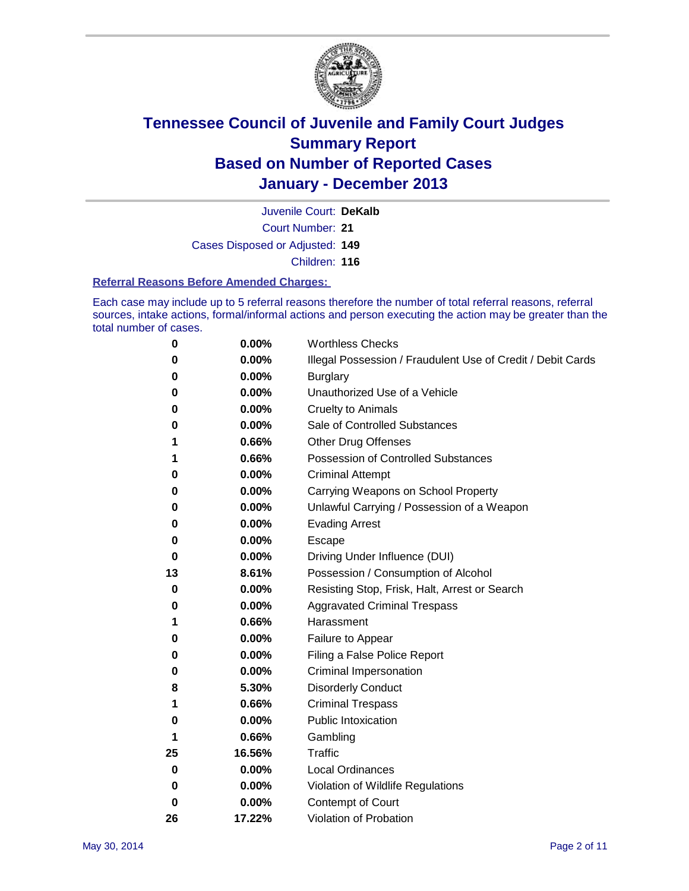

Court Number: **21** Juvenile Court: **DeKalb** Cases Disposed or Adjusted: **149** Children: **116**

#### **Referral Reasons Before Amended Charges:**

Each case may include up to 5 referral reasons therefore the number of total referral reasons, referral sources, intake actions, formal/informal actions and person executing the action may be greater than the total number of cases.

| 0  | 0.00%  | <b>Worthless Checks</b>                                     |
|----|--------|-------------------------------------------------------------|
| 0  | 0.00%  | Illegal Possession / Fraudulent Use of Credit / Debit Cards |
| 0  | 0.00%  | <b>Burglary</b>                                             |
| 0  | 0.00%  | Unauthorized Use of a Vehicle                               |
| 0  | 0.00%  | <b>Cruelty to Animals</b>                                   |
| 0  | 0.00%  | Sale of Controlled Substances                               |
| 1  | 0.66%  | <b>Other Drug Offenses</b>                                  |
| 1  | 0.66%  | Possession of Controlled Substances                         |
| 0  | 0.00%  | <b>Criminal Attempt</b>                                     |
| 0  | 0.00%  | Carrying Weapons on School Property                         |
| 0  | 0.00%  | Unlawful Carrying / Possession of a Weapon                  |
| 0  | 0.00%  | <b>Evading Arrest</b>                                       |
| 0  | 0.00%  | Escape                                                      |
| 0  | 0.00%  | Driving Under Influence (DUI)                               |
| 13 | 8.61%  | Possession / Consumption of Alcohol                         |
| 0  | 0.00%  | Resisting Stop, Frisk, Halt, Arrest or Search               |
| 0  | 0.00%  | <b>Aggravated Criminal Trespass</b>                         |
| 1  | 0.66%  | Harassment                                                  |
| 0  | 0.00%  | Failure to Appear                                           |
| 0  | 0.00%  | Filing a False Police Report                                |
| 0  | 0.00%  | Criminal Impersonation                                      |
| 8  | 5.30%  | <b>Disorderly Conduct</b>                                   |
| 1  | 0.66%  | <b>Criminal Trespass</b>                                    |
| 0  | 0.00%  | <b>Public Intoxication</b>                                  |
| 1  | 0.66%  | Gambling                                                    |
| 25 | 16.56% | Traffic                                                     |
| 0  | 0.00%  | <b>Local Ordinances</b>                                     |
| 0  | 0.00%  | Violation of Wildlife Regulations                           |
| 0  | 0.00%  | Contempt of Court                                           |
| 26 | 17.22% | Violation of Probation                                      |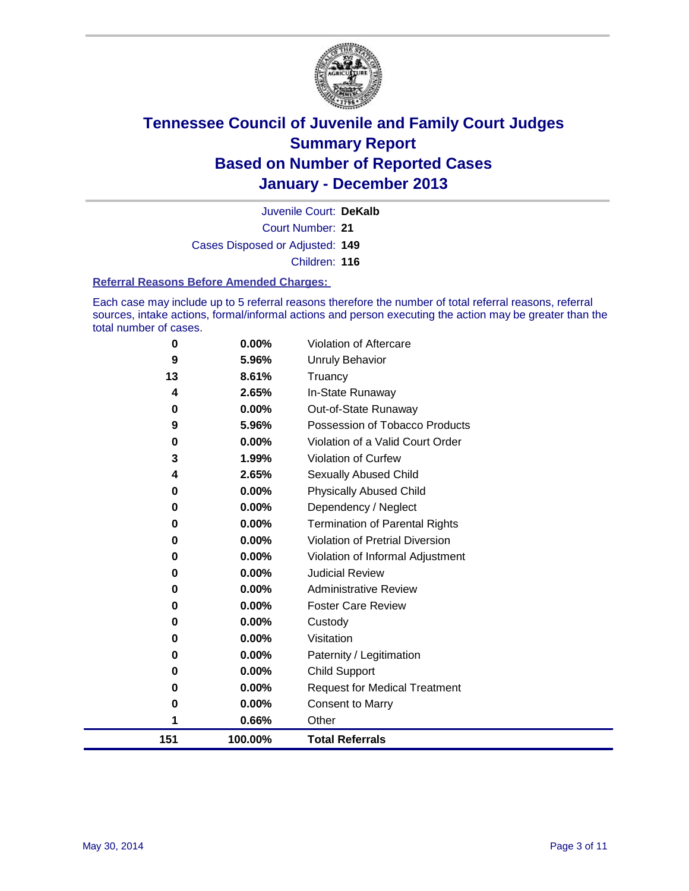

Court Number: **21** Juvenile Court: **DeKalb** Cases Disposed or Adjusted: **149** Children: **116**

#### **Referral Reasons Before Amended Charges:**

Each case may include up to 5 referral reasons therefore the number of total referral reasons, referral sources, intake actions, formal/informal actions and person executing the action may be greater than the total number of cases.

| 151 | 100.00% | <b>Total Referrals</b>                |
|-----|---------|---------------------------------------|
| 1   | 0.66%   | Other                                 |
| 0   | 0.00%   | <b>Consent to Marry</b>               |
| 0   | 0.00%   | <b>Request for Medical Treatment</b>  |
| 0   | 0.00%   | <b>Child Support</b>                  |
| 0   | 0.00%   | Paternity / Legitimation              |
| 0   | 0.00%   | Visitation                            |
| 0   | 0.00%   | Custody                               |
| 0   | 0.00%   | <b>Foster Care Review</b>             |
| 0   | 0.00%   | <b>Administrative Review</b>          |
| 0   | 0.00%   | <b>Judicial Review</b>                |
| 0   | 0.00%   | Violation of Informal Adjustment      |
| 0   | 0.00%   | Violation of Pretrial Diversion       |
| 0   | 0.00%   | <b>Termination of Parental Rights</b> |
| 0   | 0.00%   | Dependency / Neglect                  |
| 0   | 0.00%   | <b>Physically Abused Child</b>        |
| 4   | 2.65%   | Sexually Abused Child                 |
| 3   | 1.99%   | Violation of Curfew                   |
| 0   | 0.00%   | Violation of a Valid Court Order      |
| 9   | 5.96%   | Possession of Tobacco Products        |
| 0   | 0.00%   | Out-of-State Runaway                  |
| 4   | 2.65%   | In-State Runaway                      |
| 13  | 8.61%   | Truancy                               |
| 9   | 5.96%   | <b>Unruly Behavior</b>                |
| 0   | 0.00%   | Violation of Aftercare                |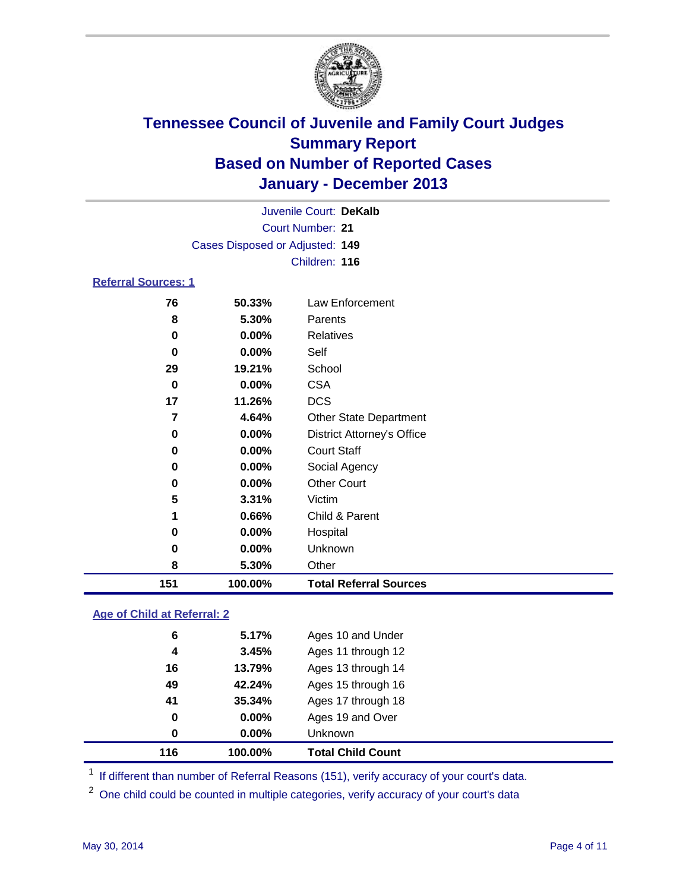

| 151                        | 100.00%                         | <b>Total Referral Sources</b>     |  |
|----------------------------|---------------------------------|-----------------------------------|--|
| 8                          | 5.30%                           | Other                             |  |
| 0                          | 0.00%                           | Unknown                           |  |
| 0                          | 0.00%                           | Hospital                          |  |
| 1                          | 0.66%                           | Child & Parent                    |  |
| 5                          | 3.31%                           | Victim                            |  |
| 0                          | $0.00\%$                        | <b>Other Court</b>                |  |
| 0                          | 0.00%                           | Social Agency                     |  |
| 0                          | 0.00%                           | <b>Court Staff</b>                |  |
| 0                          | $0.00\%$                        | <b>District Attorney's Office</b> |  |
| 7                          | 4.64%                           | <b>Other State Department</b>     |  |
| 17                         | 11.26%                          | <b>DCS</b>                        |  |
| $\bf{0}$                   | 0.00%                           | <b>CSA</b>                        |  |
| 29                         | 19.21%                          | School                            |  |
| 0                          | 0.00%                           | Self                              |  |
| $\bf{0}$                   | $0.00\%$                        | <b>Relatives</b>                  |  |
| 8                          | 5.30%                           | Parents                           |  |
| 76                         | 50.33%                          | Law Enforcement                   |  |
| <b>Referral Sources: 1</b> |                                 |                                   |  |
|                            |                                 | Children: 116                     |  |
|                            | Cases Disposed or Adjusted: 149 |                                   |  |
|                            |                                 | <b>Court Number: 21</b>           |  |
|                            |                                 | Juvenile Court: DeKalb            |  |
|                            |                                 |                                   |  |

### **Age of Child at Referral: 2**

| 116 | 100.00% | <b>Total Child Count</b> |
|-----|---------|--------------------------|
| 0   | 0.00%   | <b>Unknown</b>           |
| 0   | 0.00%   | Ages 19 and Over         |
| 41  | 35.34%  | Ages 17 through 18       |
| 49  | 42.24%  | Ages 15 through 16       |
| 16  | 13.79%  | Ages 13 through 14       |
| 4   | 3.45%   | Ages 11 through 12       |
| 6   | 5.17%   | Ages 10 and Under        |
|     |         |                          |

<sup>1</sup> If different than number of Referral Reasons (151), verify accuracy of your court's data.

<sup>2</sup> One child could be counted in multiple categories, verify accuracy of your court's data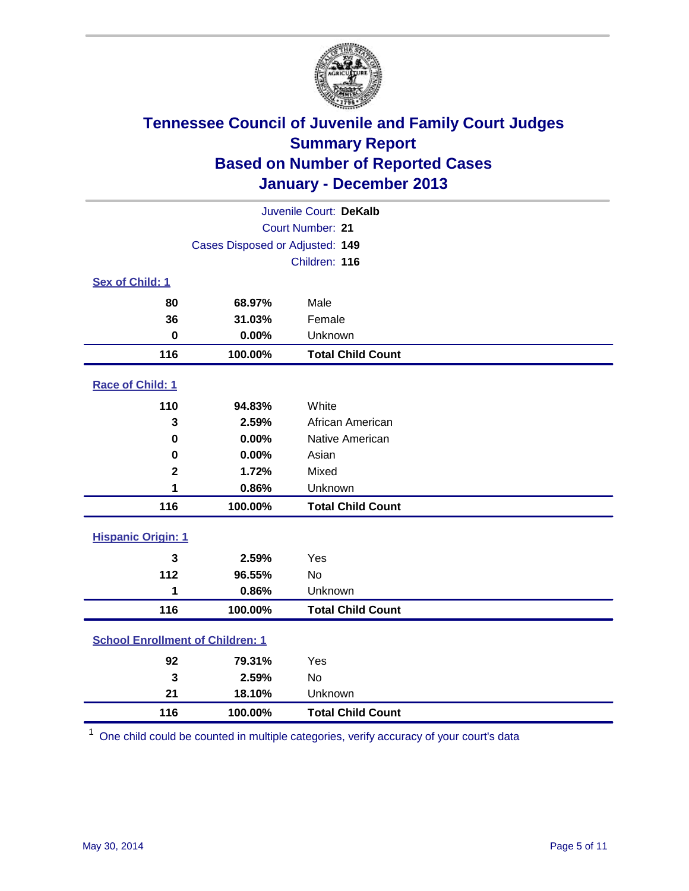

| Juvenile Court: DeKalb                  |                                 |                          |  |
|-----------------------------------------|---------------------------------|--------------------------|--|
|                                         |                                 | Court Number: 21         |  |
|                                         | Cases Disposed or Adjusted: 149 |                          |  |
|                                         |                                 | Children: 116            |  |
| Sex of Child: 1                         |                                 |                          |  |
| 80                                      | 68.97%                          | Male                     |  |
| 36                                      | 31.03%                          | Female                   |  |
| $\bf{0}$                                | 0.00%                           | Unknown                  |  |
| 116                                     | 100.00%                         | <b>Total Child Count</b> |  |
| Race of Child: 1                        |                                 |                          |  |
| 110                                     | 94.83%                          | White                    |  |
| 3                                       | 2.59%                           | African American         |  |
| 0                                       | 0.00%                           | Native American          |  |
| 0                                       | 0.00%                           | Asian                    |  |
| $\mathbf 2$                             | 1.72%                           | Mixed                    |  |
| 1                                       | 0.86%                           | Unknown                  |  |
| 116                                     | 100.00%                         | <b>Total Child Count</b> |  |
| <b>Hispanic Origin: 1</b>               |                                 |                          |  |
| 3                                       | 2.59%                           | Yes                      |  |
| 112                                     | 96.55%                          | <b>No</b>                |  |
| 1                                       | 0.86%                           | Unknown                  |  |
| 116                                     | 100.00%                         | <b>Total Child Count</b> |  |
| <b>School Enrollment of Children: 1</b> |                                 |                          |  |
| 92                                      | 79.31%                          | Yes                      |  |
| 3                                       | 2.59%                           | No                       |  |
| 21                                      | 18.10%                          | Unknown                  |  |
| 116                                     | 100.00%                         | <b>Total Child Count</b> |  |

One child could be counted in multiple categories, verify accuracy of your court's data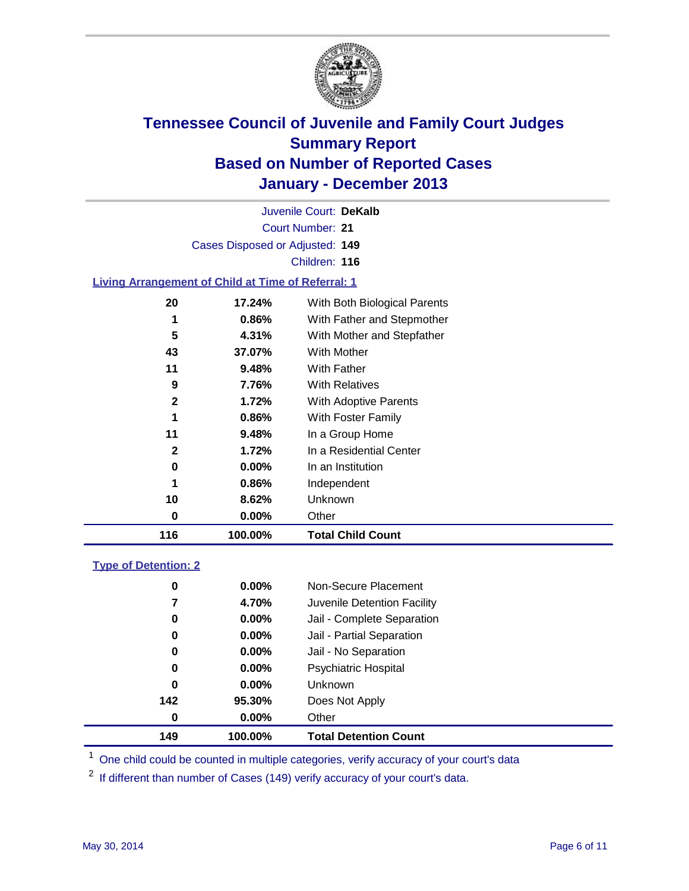

Court Number: **21** Juvenile Court: **DeKalb** Cases Disposed or Adjusted: **149** Children: **116**

### **Living Arrangement of Child at Time of Referral: 1**

| 116          | 100.00%  | <b>Total Child Count</b>     |  |
|--------------|----------|------------------------------|--|
| 0            | 0.00%    | Other                        |  |
| 10           | 8.62%    | Unknown                      |  |
| 1            | 0.86%    | Independent                  |  |
| 0            | $0.00\%$ | In an Institution            |  |
| $\mathbf{2}$ | 1.72%    | In a Residential Center      |  |
| 11           | 9.48%    | In a Group Home              |  |
| 1            | 0.86%    | With Foster Family           |  |
| $\mathbf{2}$ | 1.72%    | With Adoptive Parents        |  |
| 9            | 7.76%    | <b>With Relatives</b>        |  |
| 11           | 9.48%    | With Father                  |  |
| 43           | 37.07%   | With Mother                  |  |
| 5            | 4.31%    | With Mother and Stepfather   |  |
| 1            | 0.86%    | With Father and Stepmother   |  |
| 20           | 17.24%   | With Both Biological Parents |  |
|              |          |                              |  |

#### **Type of Detention: 2**

| 149 | 100.00%  | <b>Total Detention Count</b> |  |
|-----|----------|------------------------------|--|
| 0   | 0.00%    | Other                        |  |
| 142 | 95.30%   | Does Not Apply               |  |
| 0   | $0.00\%$ | <b>Unknown</b>               |  |
| 0   | $0.00\%$ | <b>Psychiatric Hospital</b>  |  |
| 0   | 0.00%    | Jail - No Separation         |  |
| 0   | $0.00\%$ | Jail - Partial Separation    |  |
| 0   | $0.00\%$ | Jail - Complete Separation   |  |
| 7   | 4.70%    | Juvenile Detention Facility  |  |
| 0   | $0.00\%$ | Non-Secure Placement         |  |
|     |          |                              |  |

<sup>1</sup> One child could be counted in multiple categories, verify accuracy of your court's data

<sup>2</sup> If different than number of Cases (149) verify accuracy of your court's data.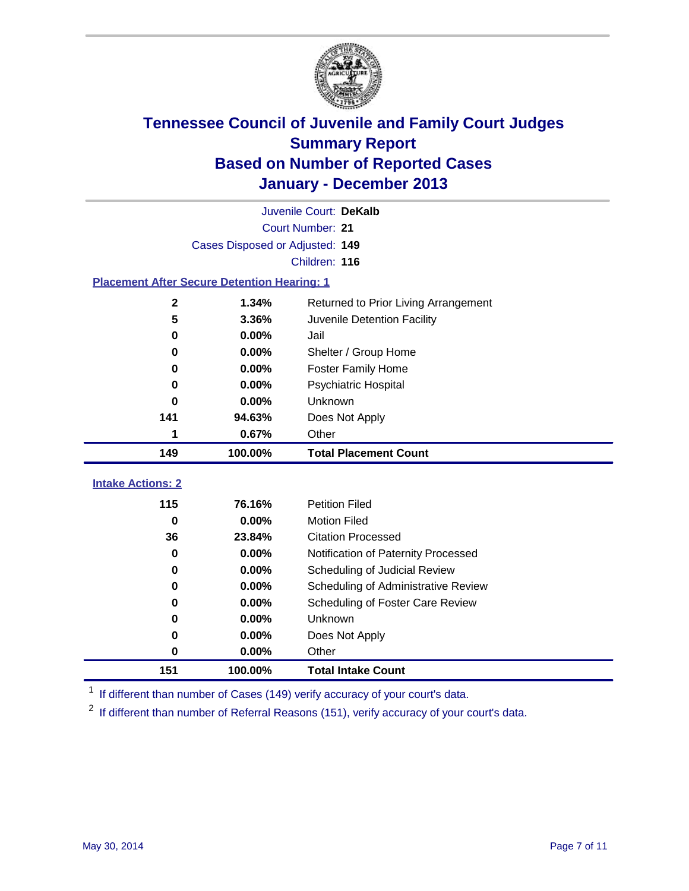

| Juvenile Court: DeKalb                             |                  |                                      |  |  |  |  |
|----------------------------------------------------|------------------|--------------------------------------|--|--|--|--|
|                                                    | Court Number: 21 |                                      |  |  |  |  |
| Cases Disposed or Adjusted: 149                    |                  |                                      |  |  |  |  |
|                                                    | Children: 116    |                                      |  |  |  |  |
| <b>Placement After Secure Detention Hearing: 1</b> |                  |                                      |  |  |  |  |
| $\mathbf{2}$                                       | 1.34%            | Returned to Prior Living Arrangement |  |  |  |  |
| 5                                                  | 3.36%            | Juvenile Detention Facility          |  |  |  |  |
| $\bf{0}$                                           | 0.00%            | Jail                                 |  |  |  |  |
| 0                                                  | 0.00%            | Shelter / Group Home                 |  |  |  |  |
| 0                                                  | 0.00%            | <b>Foster Family Home</b>            |  |  |  |  |
| 0                                                  | 0.00%            | Psychiatric Hospital                 |  |  |  |  |
| 0                                                  | 0.00%            | Unknown                              |  |  |  |  |
| 141                                                | 94.63%           | Does Not Apply                       |  |  |  |  |
| 1                                                  | 0.67%            | Other                                |  |  |  |  |
| 149                                                | 100.00%          | <b>Total Placement Count</b>         |  |  |  |  |
| <b>Intake Actions: 2</b>                           |                  |                                      |  |  |  |  |
| 115                                                | 76.16%           | <b>Petition Filed</b>                |  |  |  |  |
| $\mathbf 0$                                        | 0.00%            | <b>Motion Filed</b>                  |  |  |  |  |
| 36                                                 | 23.84%           | <b>Citation Processed</b>            |  |  |  |  |
| 0                                                  | 0.00%            | Notification of Paternity Processed  |  |  |  |  |
| 0                                                  | 0.00%            | Scheduling of Judicial Review        |  |  |  |  |
| 0                                                  |                  |                                      |  |  |  |  |
|                                                    | 0.00%            | Scheduling of Administrative Review  |  |  |  |  |
| $\bf{0}$                                           | 0.00%            | Scheduling of Foster Care Review     |  |  |  |  |
| 0                                                  | 0.00%            | Unknown                              |  |  |  |  |
| 0                                                  | 0.00%            | Does Not Apply                       |  |  |  |  |
| 0                                                  | 0.00%            | Other                                |  |  |  |  |

<sup>1</sup> If different than number of Cases (149) verify accuracy of your court's data.

If different than number of Referral Reasons (151), verify accuracy of your court's data.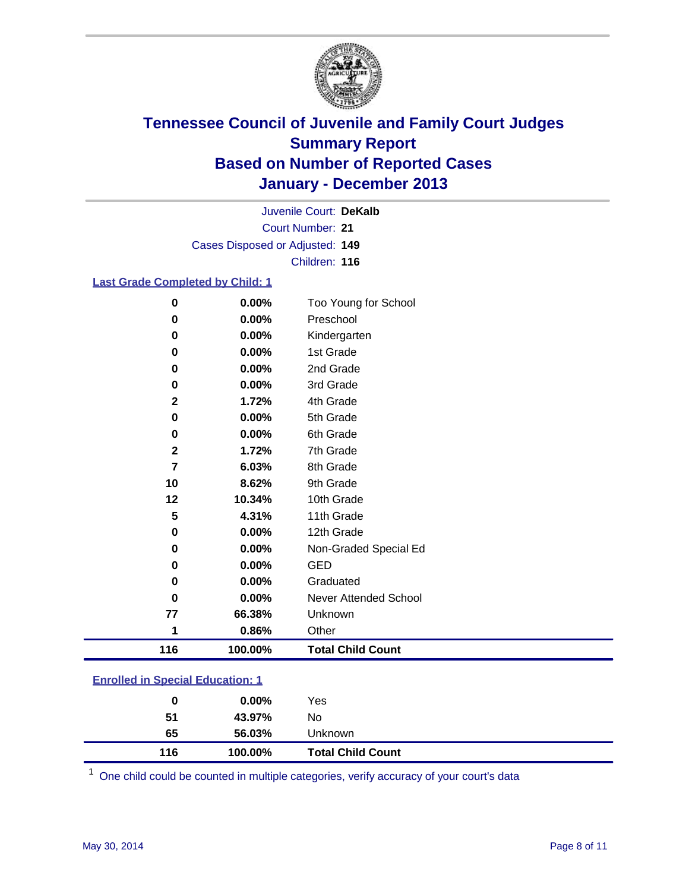

Court Number: **21** Juvenile Court: **DeKalb** Cases Disposed or Adjusted: **149** Children: **116**

### **Last Grade Completed by Child: 1**

| $\bf{0}$    | 0.00%   | Too Young for School     |
|-------------|---------|--------------------------|
| 0           | 0.00%   | Preschool                |
| 0           | 0.00%   | Kindergarten             |
| 0           | 0.00%   | 1st Grade                |
| $\mathbf 0$ | 0.00%   | 2nd Grade                |
| $\bf{0}$    | 0.00%   | 3rd Grade                |
| $\mathbf 2$ | 1.72%   | 4th Grade                |
| 0           | 0.00%   | 5th Grade                |
| $\bf{0}$    | 0.00%   | 6th Grade                |
| $\mathbf 2$ | 1.72%   | 7th Grade                |
| 7           | 6.03%   | 8th Grade                |
| 10          | 8.62%   | 9th Grade                |
| 12          | 10.34%  | 10th Grade               |
| 5           | 4.31%   | 11th Grade               |
| 0           | 0.00%   | 12th Grade               |
| $\mathbf 0$ | 0.00%   | Non-Graded Special Ed    |
| 0           | 0.00%   | <b>GED</b>               |
| 0           | 0.00%   | Graduated                |
| 0           | 0.00%   | Never Attended School    |
| 77          | 66.38%  | Unknown                  |
| 1           | 0.86%   | Other                    |
| 116         | 100.00% | <b>Total Child Count</b> |
|             |         |                          |

One child could be counted in multiple categories, verify accuracy of your court's data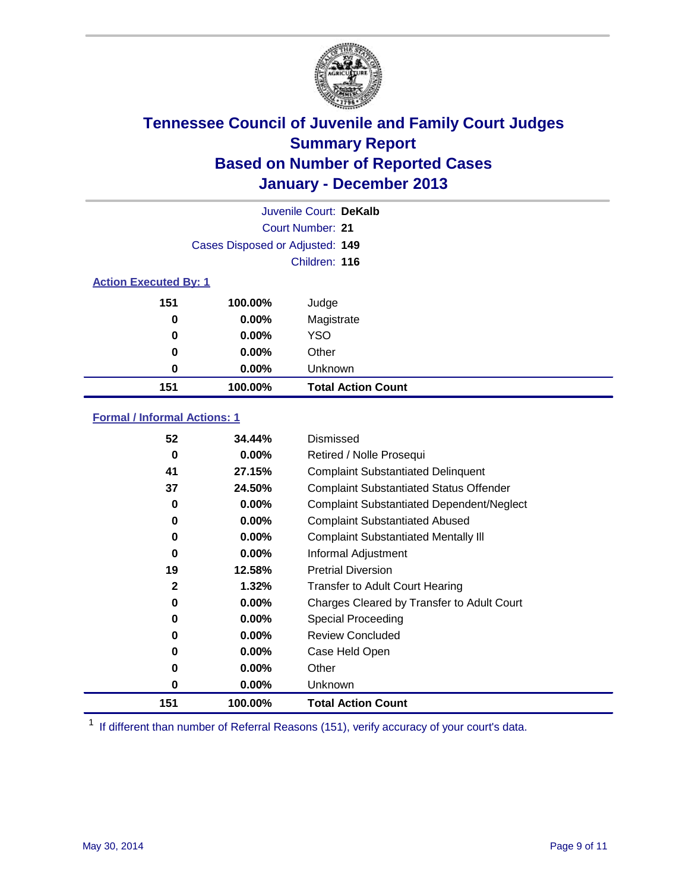

|                              |                                 | Juvenile Court: DeKalb    |
|------------------------------|---------------------------------|---------------------------|
|                              |                                 | Court Number: 21          |
|                              | Cases Disposed or Adjusted: 149 |                           |
|                              |                                 | Children: 116             |
| <b>Action Executed By: 1</b> |                                 |                           |
| 151                          | 100.00%                         | Judge                     |
| 0                            | $0.00\%$                        | Magistrate                |
| $\bf{0}$                     | $0.00\%$                        | <b>YSO</b>                |
| 0                            | $0.00\%$                        | Other                     |
| 0                            | $0.00\%$                        | Unknown                   |
| 151                          | 100.00%                         | <b>Total Action Count</b> |

### **Formal / Informal Actions: 1**

| 52               | 34.44%   | Dismissed                                        |
|------------------|----------|--------------------------------------------------|
| 0                | $0.00\%$ | Retired / Nolle Prosequi                         |
| 41               | 27.15%   | <b>Complaint Substantiated Delinquent</b>        |
| 37               | 24.50%   | <b>Complaint Substantiated Status Offender</b>   |
| 0                | 0.00%    | <b>Complaint Substantiated Dependent/Neglect</b> |
| 0                | $0.00\%$ | <b>Complaint Substantiated Abused</b>            |
| 0                | $0.00\%$ | <b>Complaint Substantiated Mentally III</b>      |
| 0                | $0.00\%$ | Informal Adjustment                              |
| 19               | 12.58%   | <b>Pretrial Diversion</b>                        |
| $\boldsymbol{2}$ | 1.32%    | <b>Transfer to Adult Court Hearing</b>           |
| 0                | $0.00\%$ | Charges Cleared by Transfer to Adult Court       |
| 0                | $0.00\%$ | Special Proceeding                               |
| 0                | $0.00\%$ | <b>Review Concluded</b>                          |
| 0                | $0.00\%$ | Case Held Open                                   |
| 0                | $0.00\%$ | Other                                            |
| 0                | $0.00\%$ | Unknown                                          |
| 151              | 100.00%  | <b>Total Action Count</b>                        |

<sup>1</sup> If different than number of Referral Reasons (151), verify accuracy of your court's data.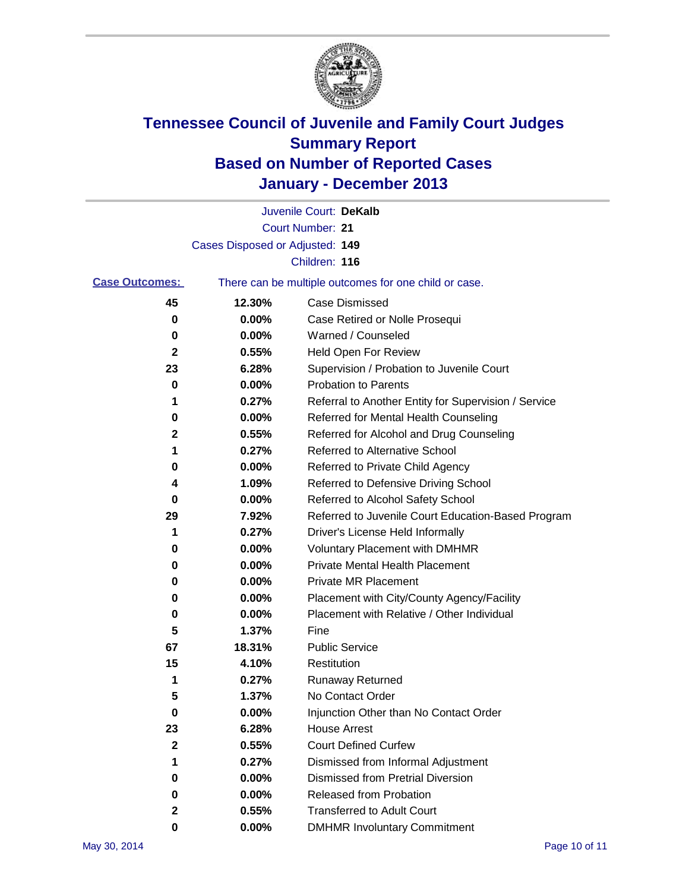

|                       |                                 | Juvenile Court: DeKalb                                |
|-----------------------|---------------------------------|-------------------------------------------------------|
|                       |                                 | Court Number: 21                                      |
|                       | Cases Disposed or Adjusted: 149 |                                                       |
|                       |                                 | Children: 116                                         |
| <b>Case Outcomes:</b> |                                 | There can be multiple outcomes for one child or case. |
| 45                    | 12.30%                          | <b>Case Dismissed</b>                                 |
| 0                     | 0.00%                           | Case Retired or Nolle Prosequi                        |
| 0                     | 0.00%                           | Warned / Counseled                                    |
| 2                     | 0.55%                           | Held Open For Review                                  |
| 23                    | 6.28%                           | Supervision / Probation to Juvenile Court             |
| 0                     | 0.00%                           | <b>Probation to Parents</b>                           |
| 1                     | 0.27%                           | Referral to Another Entity for Supervision / Service  |
| 0                     | 0.00%                           | Referred for Mental Health Counseling                 |
| 2                     | 0.55%                           | Referred for Alcohol and Drug Counseling              |
| 1                     | 0.27%                           | <b>Referred to Alternative School</b>                 |
| 0                     | 0.00%                           | Referred to Private Child Agency                      |
| 4                     | 1.09%                           | Referred to Defensive Driving School                  |
| 0                     | 0.00%                           | Referred to Alcohol Safety School                     |
| 29                    | 7.92%                           | Referred to Juvenile Court Education-Based Program    |
| 1                     | 0.27%                           | Driver's License Held Informally                      |
| 0                     | 0.00%                           | <b>Voluntary Placement with DMHMR</b>                 |
| 0                     | 0.00%                           | <b>Private Mental Health Placement</b>                |
| 0                     | 0.00%                           | <b>Private MR Placement</b>                           |
| 0                     | 0.00%                           | Placement with City/County Agency/Facility            |
| 0                     | 0.00%                           | Placement with Relative / Other Individual            |
| 5                     | 1.37%                           | Fine                                                  |
| 67                    | 18.31%                          | <b>Public Service</b>                                 |
| 15                    | 4.10%                           | Restitution                                           |
| 1                     | 0.27%                           | <b>Runaway Returned</b>                               |
| 5                     | 1.37%                           | No Contact Order                                      |
| $\bf{0}$              | 0.00%                           | Injunction Other than No Contact Order                |
| 23                    | 6.28%                           | <b>House Arrest</b>                                   |
| $\boldsymbol{2}$      | 0.55%                           | <b>Court Defined Curfew</b>                           |
| 1                     | 0.27%                           | Dismissed from Informal Adjustment                    |
| 0                     | 0.00%                           | <b>Dismissed from Pretrial Diversion</b>              |
| 0                     | 0.00%                           | Released from Probation                               |
| 2                     | 0.55%                           | <b>Transferred to Adult Court</b>                     |
| 0                     | 0.00%                           | <b>DMHMR Involuntary Commitment</b>                   |